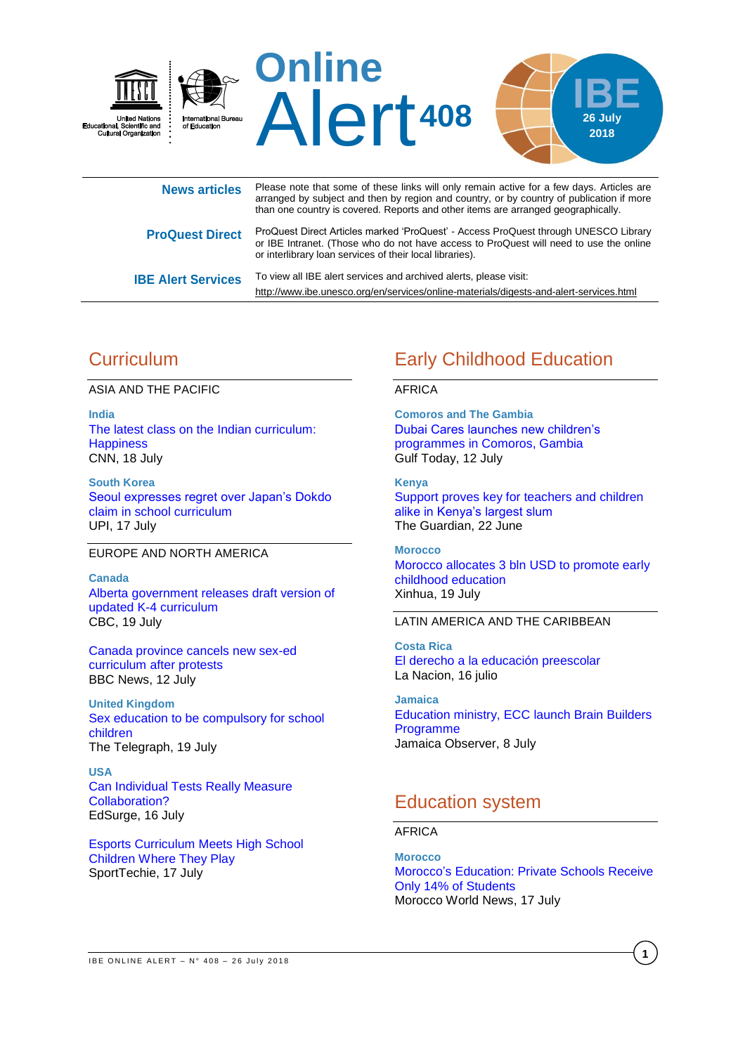

or IBE Intranet. (Those who do not have access to ProQuest will need to use the online or interlibrary loan services of their local libraries). **IBE Alert Services** To view all IBE alert services and archived alerts, please visit:

<http://www.ibe.unesco.org/en/services/online-materials/digests-and-alert-services.html>

# **Curriculum**

ASIA AND THE PACIFIC

**India** [The latest class on the Indian curriculum:](https://edition.cnn.com/2018/07/18/health/india-delhi-happiness-classes-intl/index.html)  **[Happiness](https://edition.cnn.com/2018/07/18/health/india-delhi-happiness-classes-intl/index.html)** CNN, 18 July

**South Korea** [Seoul expresses regret over Japan's Dokdo](https://www.upi.com/Top_News/World-News/2018/07/17/Seoul-expresses-regret-over-Japans-Dokdo-claim-in-school-curriculum/2361531814327/)  [claim in school curriculum](https://www.upi.com/Top_News/World-News/2018/07/17/Seoul-expresses-regret-over-Japans-Dokdo-claim-in-school-curriculum/2361531814327/) UPI, 17 July

### EUROPE AND NORTH AMERICA

**Canada** [Alberta government releases draft version of](https://www.cbc.ca/news/canada/edmonton/alberta-school-curriculum-draft-release-1.4754054)  [updated K-4 curriculum](https://www.cbc.ca/news/canada/edmonton/alberta-school-curriculum-draft-release-1.4754054) CBC, 19 July

[Canada province cancels new sex-ed](https://www.bbc.com/news/world-us-canada-44812833)  [curriculum after protests](https://www.bbc.com/news/world-us-canada-44812833) BBC News, 12 July

**United Kingdom** [Sex education to be compulsory for school](https://www.telegraph.co.uk/news/2018/07/19/sex-education-compulsory-primary-secondary-schools/)  [children](https://www.telegraph.co.uk/news/2018/07/19/sex-education-compulsory-primary-secondary-schools/) The Telegraph, 19 July

**USA** [Can Individual Tests Really Measure](https://www.edsurge.com/news/2018-07-16-can-individual-tests-really-measure-collaboration)  [Collaboration?](https://www.edsurge.com/news/2018-07-16-can-individual-tests-really-measure-collaboration) EdSurge, 16 July

[Esports Curriculum Meets High School](https://www.sporttechie.com/north-america-scholastic-esports-federation-high-school-curriculum/)  [Children Where They Play](https://www.sporttechie.com/north-america-scholastic-esports-federation-high-school-curriculum/) SportTechie, 17 July

# Early Childhood Education

### AFRICA

**Comoros and The Gambia** [Dubai Cares launches new children's](http://gulftoday.ae/portal/db77294c-55e5-4511-880c-e0d6d725978a.aspx)  [programmes in Comoros, Gambia](http://gulftoday.ae/portal/db77294c-55e5-4511-880c-e0d6d725978a.aspx) Gulf Today, 12 July

**Kenya** [Support proves key for teachers and children](https://www.theguardian.com/global-development/2018/jun/22/support-key-for-teachers-and-children-alike-in-kenyas-largest-slum-kibera)  [alike in Kenya's largest slum](https://www.theguardian.com/global-development/2018/jun/22/support-key-for-teachers-and-children-alike-in-kenyas-largest-slum-kibera) The Guardian, 22 June

**Morocco** [Morocco allocates 3 bln USD to promote early](http://www.xinhuanet.com/english/2018-07/19/c_137333837.htm)  [childhood education](http://www.xinhuanet.com/english/2018-07/19/c_137333837.htm) Xinhua, 19 July

### LATIN AMERICA AND THE CARIBBEAN

**Costa Rica** [El derecho a la educación preescolar](https://www.nacion.com/opinion/columnistas/el-derecho-a-la-educacion-preescolar/VMYUAZDRA5HEBBJ6GQV5RIDYWI/story/) La Nacion, 16 julio

**Jamaica** [Education ministry, ECC launch Brain Builders](http://www.jamaicaobserver.com/latestnews/Education_ministry,_ECC_launch_Brain_Builders_Programme_?profile=1228)  [Programme](http://www.jamaicaobserver.com/latestnews/Education_ministry,_ECC_launch_Brain_Builders_Programme_?profile=1228) Jamaica Observer, 8 July

# Education system

AFRICA

**Morocco** Morocco's [Education: Private Schools Receive](https://www.moroccoworldnews.com/2018/07/250726/morocco-education-private-schools-moroccan-students/)  [Only 14% of Students](https://www.moroccoworldnews.com/2018/07/250726/morocco-education-private-schools-moroccan-students/) Morocco World News, 17 July

**1**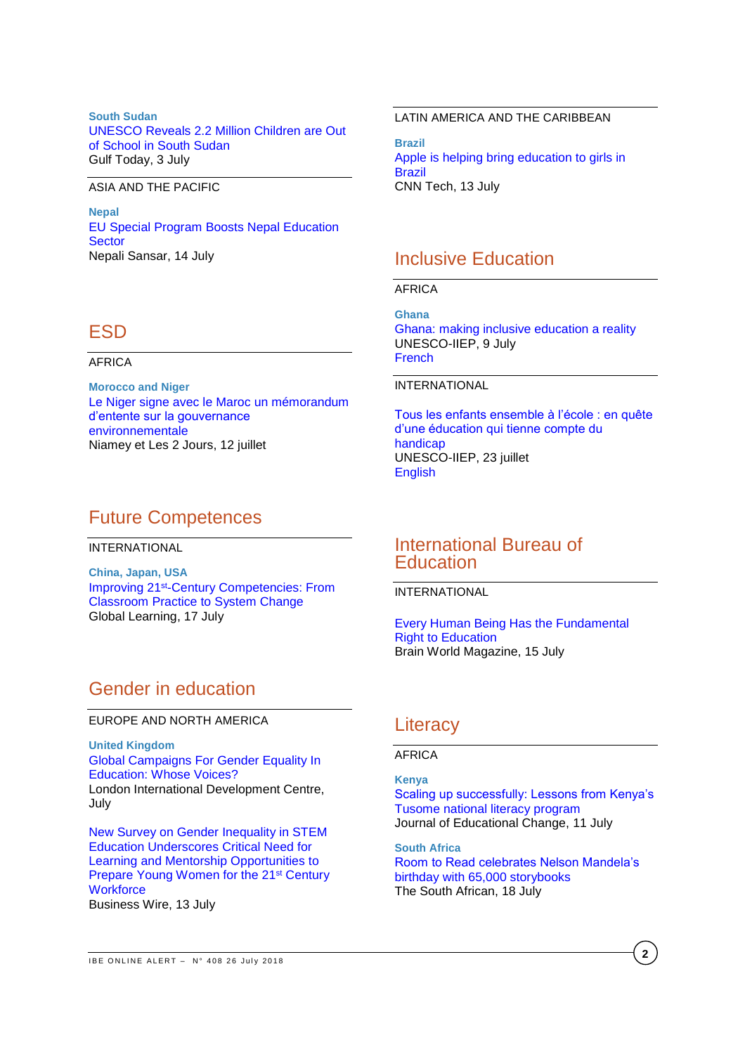**South Sudan** [UNESCO Reveals 2.2 Million Children are Out](http://www.unesco.org/new/en/juba/about-this-office/single-view/news/unesco_reveals_22_million_children_are_out_of_school_in_sou)  [of School in South Sudan](http://www.unesco.org/new/en/juba/about-this-office/single-view/news/unesco_reveals_22_million_children_are_out_of_school_in_sou) Gulf Today, 3 July

#### ASIA AND THE PACIFIC

**Nepal** [EU Special Program Boosts Nepal Education](https://www.nepalisansar.com/news/eu-special-program-boosts-nepal-education-sector/)  **[Sector](https://www.nepalisansar.com/news/eu-special-program-boosts-nepal-education-sector/)** Nepali Sansar, 14 July

## ESD

#### AFRICA

**Morocco and Niger** [Le Niger signe avec le Maroc un mémorandum](https://www.niameyetles2jours.com/la-gestion-publique/gouvernance-economique/1207-2592-le-niger-signe-avec-le-maroc-un-memorandum-d-entente-sur-la-gouvernance-environnementale)  [d'entente sur la gouvernance](https://www.niameyetles2jours.com/la-gestion-publique/gouvernance-economique/1207-2592-le-niger-signe-avec-le-maroc-un-memorandum-d-entente-sur-la-gouvernance-environnementale)  [environnementale](https://www.niameyetles2jours.com/la-gestion-publique/gouvernance-economique/1207-2592-le-niger-signe-avec-le-maroc-un-memorandum-d-entente-sur-la-gouvernance-environnementale) Niamey et Les 2 Jours, 12 juillet

# Future Competences

#### INTERNATIONAL

**China, Japan, USA** Improving 21st[-Century Competencies: From](http://blogs.edweek.org/edweek/global_learning/2018/07/improving_21st-century_competencies_from_classroom_practice_to_system_change.html#comments)  [Classroom Practice to System Change](http://blogs.edweek.org/edweek/global_learning/2018/07/improving_21st-century_competencies_from_classroom_practice_to_system_change.html#comments) Global Learning, 17 July

## Gender in education

### EUROPE AND NORTH AMERICA

**United Kingdom** [Global Campaigns For Gender Equality In](https://lidc.ac.uk/global-campaigns-gender-equality-education/?utm_source=Reddit&utm_medium=post&utm_campaign=girls%27%20education)  [Education: Whose Voices?](https://lidc.ac.uk/global-campaigns-gender-equality-education/?utm_source=Reddit&utm_medium=post&utm_campaign=girls%27%20education) London International Development Centre, July

[New Survey on Gender Inequality in STEM](https://www.businesswire.com/news/home/20180713005375/en/New-Survey-Gender-Inequality-STEM-Education-Underscores)  [Education Underscores Critical Need for](https://www.businesswire.com/news/home/20180713005375/en/New-Survey-Gender-Inequality-STEM-Education-Underscores)  [Learning and Mentorship Opportunities to](https://www.businesswire.com/news/home/20180713005375/en/New-Survey-Gender-Inequality-STEM-Education-Underscores)  [Prepare Young Women for the 21](https://www.businesswire.com/news/home/20180713005375/en/New-Survey-Gender-Inequality-STEM-Education-Underscores)<sup>st</sup> Century **[Workforce](https://www.businesswire.com/news/home/20180713005375/en/New-Survey-Gender-Inequality-STEM-Education-Underscores)** Business Wire, 13 July

### LATIN AMERICA AND THE CARIBBEAN

**Brazil** [Apple is helping bring education to girls in](https://money.cnn.com/2018/07/13/technology/apple-malala-brazil/index.html)  **[Brazil](https://money.cnn.com/2018/07/13/technology/apple-malala-brazil/index.html)** CNN Tech, 13 July

## Inclusive Education

### AFRICA

**Ghana** [Ghana: making inclusive education a reality](http://www.iiep.unesco.org/en/ghana-making-inclusive-education-reality-4564) UNESCO-IIEP, 9 July [French](http://www.iiep.unesco.org/fr/ghana-faire-de-leducation-inclusive-une-realite-4565)

### INTERNATIONAL

[Tous les enfants ensemble à l'école : en quête](http://www.iiep.unesco.org/fr/tous-les-enfants-ensemble-lecole-en-quete-dune-education-qui-tienne-compte-du-handicap-4572)  [d'une éducation qui tienne compte du](http://www.iiep.unesco.org/fr/tous-les-enfants-ensemble-lecole-en-quete-dune-education-qui-tienne-compte-du-handicap-4572)  [handicap](http://www.iiep.unesco.org/fr/tous-les-enfants-ensemble-lecole-en-quete-dune-education-qui-tienne-compte-du-handicap-4572) UNESCO-IIEP, 23 juillet [English](http://www.iiep.unesco.org/en/all-children-school-together-quest-disability-inclusive-education-4570)

## International Bureau of **Education**

INTERNATIONAL

[Every Human Being Has the Fundamental](https://brainworldmagazine.com/every-human-fundamental-right-education/)  [Right to Education](https://brainworldmagazine.com/every-human-fundamental-right-education/) Brain World Magazine, 15 July

### **Literacy**

#### AFRICA

# **Kenya**

[Scaling up successfully: Lessons from Kenya's](https://link.springer.com/article/10.1007/s10833-018-9325-4)  [Tusome national literacy program](https://link.springer.com/article/10.1007/s10833-018-9325-4) Journal of Educational Change, 11 July

#### **South Africa**

[Room to Read celebrates Nelson Mandela's](https://www.thesouthafrican.com/room-to-read-celebrates-nelson-mandelas-birthday-with-65000-storybooks/)  [birthday with 65,000 storybooks](https://www.thesouthafrican.com/room-to-read-celebrates-nelson-mandelas-birthday-with-65000-storybooks/) The South African, 18 July

**2**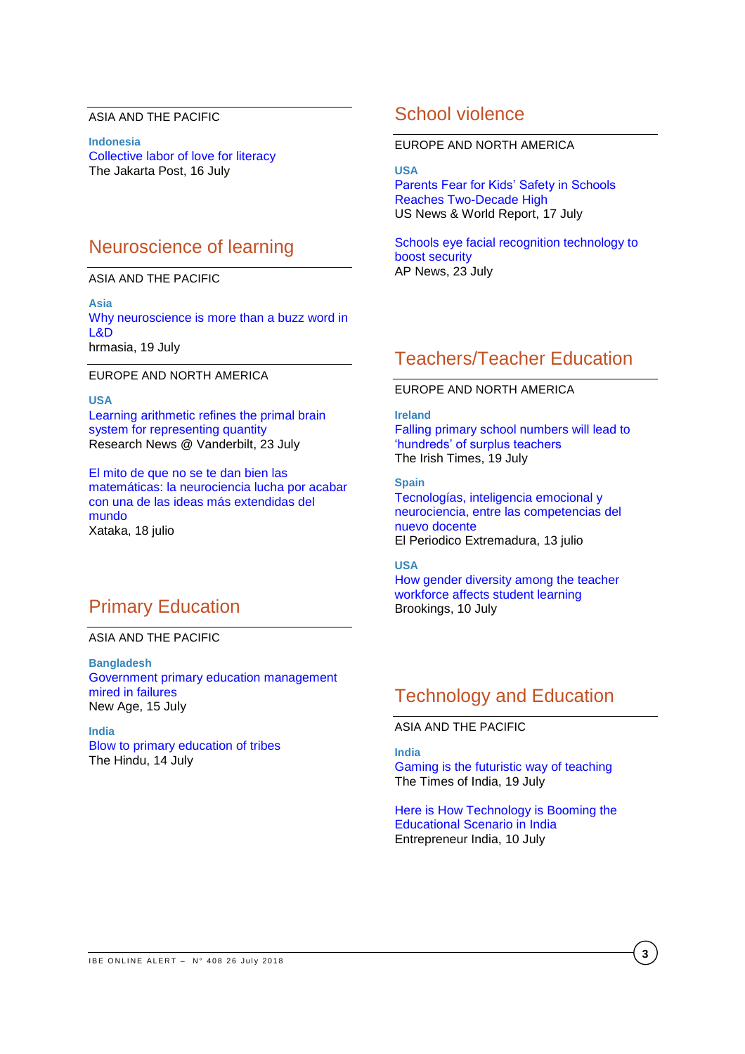### ASIA AND THE PACIFIC

**Indonesia** [Collective labor of love for literacy](http://www.thejakartapost.com/life/2018/07/16/collective-labor-of-love-for-literacy.html) The Jakarta Post, 16 July

# Neuroscience of learning

#### ASIA AND THE PACIFIC

**Asia** Why [neuroscience is more than a buzz word in](http://www.hrmasia.com/content/why-neuroscience-more-buzz-word-ld)  [L&D](http://www.hrmasia.com/content/why-neuroscience-more-buzz-word-ld) hrmasia, 19 July

EUROPE AND NORTH AMERICA

**USA** Learning [arithmetic refines the primal brain](https://news.vanderbilt.edu/2018/07/23/babies-instinctive-counting-skills-may-not-predict-future-math-smarts/)  [system for representing quantity](https://news.vanderbilt.edu/2018/07/23/babies-instinctive-counting-skills-may-not-predict-future-math-smarts/) Research News @ Vanderbilt, 23 July

[El mito de que no se te dan bien las](https://www.xataka.com/investigacion/mito-que-no-se-te-dan-bien-matematicas-neurociencia-lucha-acabar-ideas-extendidas-mundo)  [matemáticas: la neurociencia lucha por acabar](https://www.xataka.com/investigacion/mito-que-no-se-te-dan-bien-matematicas-neurociencia-lucha-acabar-ideas-extendidas-mundo)  [con una de las ideas más extendidas del](https://www.xataka.com/investigacion/mito-que-no-se-te-dan-bien-matematicas-neurociencia-lucha-acabar-ideas-extendidas-mundo)  [mundo](https://www.xataka.com/investigacion/mito-que-no-se-te-dan-bien-matematicas-neurociencia-lucha-acabar-ideas-extendidas-mundo) Xataka, 18 julio

# Primary Education

### ASIA AND THE PACIFIC

**Bangladesh** [Government primary education management](http://www.newagebd.net/article/46026/government-primary-education-management-mired-in-failures)  [mired in failures](http://www.newagebd.net/article/46026/government-primary-education-management-mired-in-failures) New Age, 15 July

**India** [Blow to primary education of tribes](https://www.thehindu.com/news/national/kerala/blow-to-primary-education-in-tribal-areas/article24420377.ece) The Hindu, 14 July

## School violence

### EUROPE AND NORTH AMERICA

#### **USA**

[Parents Fear for Kids' Safety in Schools](https://www.usnews.com/news/education-news/articles/2018-07-17/parents-fear-for-kids-safety-in-schools-reaches-two-decade-high)  [Reaches Two-Decade High](https://www.usnews.com/news/education-news/articles/2018-07-17/parents-fear-for-kids-safety-in-schools-reaches-two-decade-high) US News & World Report, 17 July

[Schools eye facial recognition technology to](https://www.apnews.com/44c1e832981042feaddff48ee1d337fb)  [boost security](https://www.apnews.com/44c1e832981042feaddff48ee1d337fb) AP News, 23 July

# Teachers/Teacher Education

### EUROPE AND NORTH AMERICA

**Ireland** [Falling primary school numbers will lead to](https://www.irishtimes.com/news/education/falling-primary-school-numbers-will-lead-to-hundreds-of-surplus-teachers-1.3570503)  ['hundreds' of surplus teachers](https://www.irishtimes.com/news/education/falling-primary-school-numbers-will-lead-to-hundreds-of-surplus-teachers-1.3570503) The Irish Times, 19 July

**Spain** [Tecnologías, inteligencia emocional y](http://www.elperiodicoextremadura.com/noticias/noticiaspatrocinadas/tecnologias-inteligencia-emocional-neurociencia-competencias-nuevo-docente_1101710.html)  [neurociencia, entre las competencias del](http://www.elperiodicoextremadura.com/noticias/noticiaspatrocinadas/tecnologias-inteligencia-emocional-neurociencia-competencias-nuevo-docente_1101710.html)  [nuevo docente](http://www.elperiodicoextremadura.com/noticias/noticiaspatrocinadas/tecnologias-inteligencia-emocional-neurociencia-competencias-nuevo-docente_1101710.html) El Periodico Extremadura, 13 julio

### **USA**

[How gender diversity among the teacher](https://www.brookings.edu/blog/brown-center-chalkboard/2018/07/10/how-gender-diversity-among-the-teacher-workforce-affects-student-learning/)  [workforce affects student learning](https://www.brookings.edu/blog/brown-center-chalkboard/2018/07/10/how-gender-diversity-among-the-teacher-workforce-affects-student-learning/) Brookings, 10 July

# Technology and Education

ASIA AND THE PACIFIC

**India**

[Gaming is the futuristic way of teaching](https://timesofindia.indiatimes.com/home/education/news/gaming-is-the-futuristic-way-of-teaching/articleshow/65048137.cms) The Times of India, 19 July

[Here is How Technology is Booming the](https://www.entrepreneur.com/article/316492)  [Educational Scenario in India](https://www.entrepreneur.com/article/316492) Entrepreneur India, 10 July

**3**